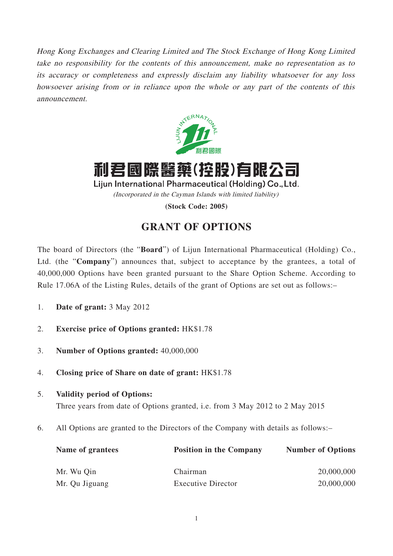Hong Kong Exchanges and Clearing Limited and The Stock Exchange of Hong Kong Limited take no responsibility for the contents of this announcement, make no representation as to its accuracy or completeness and expressly disclaim any liability whatsoever for any loss howsoever arising from or in reliance upon the whole or any part of the contents of this announcement.



利君國際醫藥(控股)有限公司

Lijun International Pharmaceutical (Holding) Co., Ltd. (Incorporated in the Cayman Islands with limited liability)

**(Stock Code: 2005)**

## **GRANT OF OPTIONS**

The board of Directors (the "**Board**") of Lijun International Pharmaceutical (Holding) Co., Ltd. (the "**Company**") announces that, subject to acceptance by the grantees, a total of 40,000,000 Options have been granted pursuant to the Share Option Scheme. According to Rule 17.06A of the Listing Rules, details of the grant of Options are set out as follows:–

- 1. **Date of grant:** 3 May 2012
- 2. **Exercise price of Options granted:** HK\$1.78
- 3. **Number of Options granted:** 40,000,000
- 4. **Closing price of Share on date of grant:** HK\$1.78
- 5. **Validity period of Options:** Three years from date of Options granted, i.e. from 3 May 2012 to 2 May 2015
- 6. All Options are granted to the Directors of the Company with details as follows:–

| Name of grantees | <b>Position in the Company</b> | <b>Number of Options</b> |
|------------------|--------------------------------|--------------------------|
| Mr. Wu Qin       | Chairman                       | 20,000,000               |
| Mr. Qu Jiguang   | <b>Executive Director</b>      | 20,000,000               |